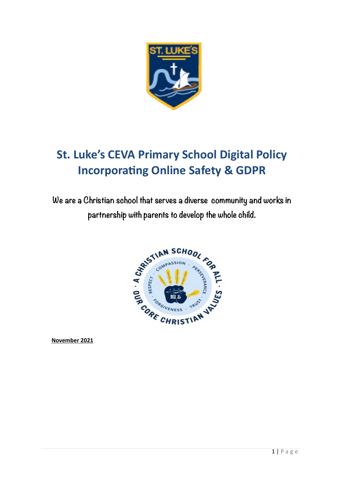

# **St. Luke's CEVA Primary School Digital Policy Incorporating Online Safety & GDPR**

**We are a Christian school that serves a diverse community and works in partnership with parents to develop the whole child.**



**November 2021**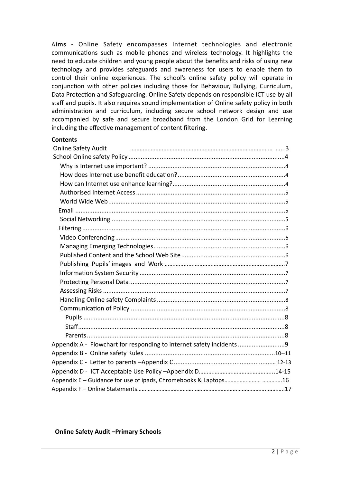A**ims -** Online Safety encompasses Internet technologies and electronic communications such as mobile phones and wireless technology. It highlights the need to educate children and young people about the benefits and risks of using new technology and provides safeguards and awareness for users to enable them to control their online experiences. The school's online safety policy will operate in conjunction with other policies including those for Behaviour, Bullying, Curriculum, Data Protection and Safeguarding. Online Safety depends on responsible ICT use by all staff and pupils. It also requires sound implementation of Online safety policy in both administration and curriculum, including secure school network design and use accompanied by **s**afe and secure broadband from the London Grid for Learning including the effective management of content filtering.

## **Contents**

| <b>Online Safety Audit</b>                                           |  |
|----------------------------------------------------------------------|--|
|                                                                      |  |
|                                                                      |  |
|                                                                      |  |
|                                                                      |  |
|                                                                      |  |
|                                                                      |  |
|                                                                      |  |
|                                                                      |  |
|                                                                      |  |
|                                                                      |  |
|                                                                      |  |
|                                                                      |  |
|                                                                      |  |
|                                                                      |  |
|                                                                      |  |
|                                                                      |  |
|                                                                      |  |
|                                                                      |  |
|                                                                      |  |
|                                                                      |  |
|                                                                      |  |
| Appendix A - Flowchart for responding to internet safety incidents 9 |  |
|                                                                      |  |
|                                                                      |  |
|                                                                      |  |
| Appendix E – Guidance for use of ipads, Chromebooks & Laptops16      |  |
|                                                                      |  |

**Online Safety Audit –Primary Schools**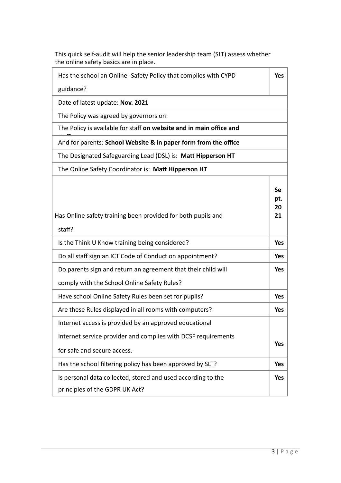| the online safety basics are in place.                                       |                       |
|------------------------------------------------------------------------------|-----------------------|
| Has the school an Online -Safety Policy that complies with CYPD<br>guidance? | <b>Yes</b>            |
| Date of latest update: Nov. 2021                                             |                       |
| The Policy was agreed by governors on:                                       |                       |
| The Policy is available for staff on website and in main office and          |                       |
| And for parents: School Website & in paper form from the office              |                       |
| The Designated Safeguarding Lead (DSL) is: Matt Hipperson HT                 |                       |
| The Online Safety Coordinator is: Matt Hipperson HT                          |                       |
| Has Online safety training been provided for both pupils and<br>staff?       | Se<br>pt.<br>20<br>21 |
| Is the Think U Know training being considered?                               | <b>Yes</b>            |
| Do all staff sign an ICT Code of Conduct on appointment?                     | <b>Yes</b>            |
| Do parents sign and return an agreement that their child will                | Yes                   |
| comply with the School Online Safety Rules?                                  |                       |
| Have school Online Safety Rules been set for pupils?                         | <b>Yes</b>            |
| Are these Rules displayed in all rooms with computers?                       | <b>Yes</b>            |
| Internet access is provided by an approved educational                       |                       |
| Internet service provider and complies with DCSF requirements                | <b>Yes</b>            |
| for safe and secure access.                                                  |                       |
| Has the school filtering policy has been approved by SLT?                    | <b>Yes</b>            |
| Is personal data collected, stored and used according to the                 | <b>Yes</b>            |
| principles of the GDPR UK Act?                                               |                       |

This quick self-audit will help the senior leadership team (SLT) assess whether the online safety basics are in place.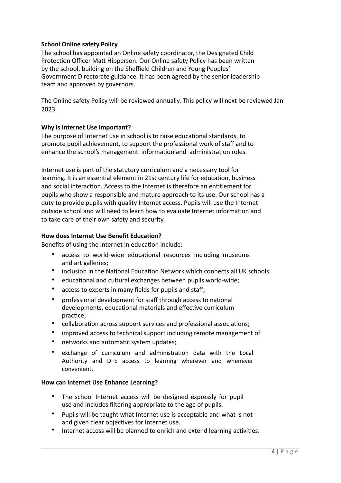## **School Online safety Policy**

The school has appointed an Online safety coordinator, the Designated Child Protection Officer Matt Hipperson. Our Online safety Policy has been written by the school, building on the Sheffield Children and Young Peoples' Government Directorate guidance. It has been agreed by the senior leadership team and approved by governors.

The Online safety Policy will be reviewed annually. This policy will next be reviewed Jan 2023.

## **Why is Internet Use Important?**

The purpose of Internet use in school is to raise educational standards, to promote pupil achievement, to support the professional work of staff and to enhance the school's management information and administration roles.

Internet use is part of the statutory curriculum and a necessary tool for learning. It is an essential element in 21st century life for education, business and social interaction. Access to the Internet is therefore an entitlement for pupils who show a responsible and mature approach to its use. Our school has a duty to provide pupils with quality Internet access. Pupils will use the Internet outside school and will need to learn how to evaluate Internet information and to take care of their own safety and security.

## **How does Internet Use Benefit Education?**

Benefits of using the Internet in education include:

- access to world-wide educational resources including museums and art galleries;
- inclusion in the National Education Network which connects all UK schools;
- educational and cultural exchanges between pupils world-wide;
- access to experts in many fields for pupils and staff;
- professional development for staff through access to national developments, educational materials and effective curriculum practice;
- collaboration across support services and professional associations;
- improved access to technical support including remote management of
- networks and automatic system updates;
- exchange of curriculum and administration data with the Local Authority and DFE access to learning wherever and whenever convenient.

## **How can Internet Use Enhance Learning?**

- The school Internet access will be designed expressly for pupil use and includes filtering appropriate to the age of pupils.
- Pupils will be taught what Internet use is acceptable and what is not and given clear objectives for Internet use.
- Internet access will be planned to enrich and extend learning activities.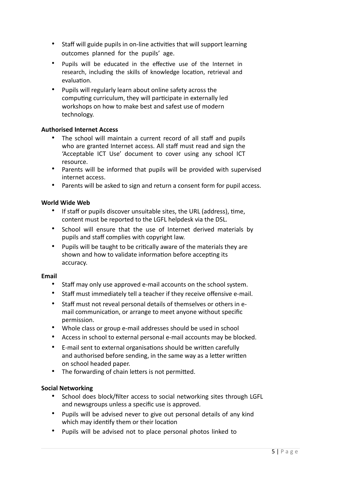- Staff will guide pupils in on-line activities that will support learning outcomes planned for the pupils' age.
- Pupils will be educated in the effective use of the Internet in research, including the skills of knowledge location, retrieval and evaluation.
- Pupils will regularly learn about online safety across the computing curriculum, they will participate in externally led workshops on how to make best and safest use of modern technology.

## **Authorised Internet Access**

- The school will maintain a current record of all staff and pupils who are granted Internet access. All staff must read and sign the 'Acceptable ICT Use' document to cover using any school ICT resource.
- Parents will be informed that pupils will be provided with supervised internet access.
- Parents will be asked to sign and return a consent form for pupil access.

## **World Wide Web**

- If staff or pupils discover unsuitable sites, the URL (address), time, content must be reported to the LGFL helpdesk via the DSL.
- School will ensure that the use of Internet derived materials by pupils and staff complies with copyright law.
- Pupils will be taught to be critically aware of the materials they are shown and how to validate information before accepting its accuracy.

## **Email**

- Staff may only use approved e-mail accounts on the school system.
- Staff must immediately tell a teacher if they receive offensive e-mail.
- Staff must not reveal personal details of themselves or others in email communication, or arrange to meet anyone without specific permission.
- Whole class or group e-mail addresses should be used in school
- Access in school to external personal e-mail accounts may be blocked.
- E-mail sent to external organisations should be written carefully and authorised before sending, in the same way as a letter written on school headed paper.
- The forwarding of chain letters is not permitted.

## **Social Networking**

- School does block/filter access to social networking sites through LGFL and newsgroups unless a specific use is approved.
- Pupils will be advised never to give out personal details of any kind which may identify them or their location
- Pupils will be advised not to place personal photos linked to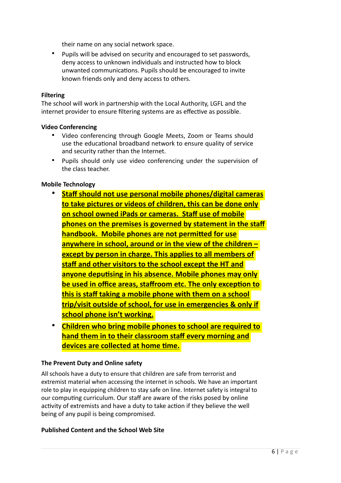their name on any social network space.

• Pupils will be advised on security and encouraged to set passwords, deny access to unknown individuals and instructed how to block unwanted communications. Pupils should be encouraged to invite known friends only and deny access to others.

## **Filtering**

The school will work in partnership with the Local Authority, LGFL and the internet provider to ensure filtering systems are as effective as possible.

## **Video Conferencing**

- Video conferencing through Google Meets, Zoom or Teams should use the educational broadband network to ensure quality of service and security rather than the Internet.
- Pupils should only use video conferencing under the supervision of the class teacher.

## **Mobile Technology**

- **Staff should not use personal mobile phones/digital cameras to take pictures or videos of children, this can be done only on school owned iPads or cameras. Staff use of mobile phones on the premises is governed by statement in the staff handbook. Mobile phones are not permitted for use anywhere in school, around or in the view of the children – except by person in charge. This applies to all members of staff and other visitors to the school except the HT and anyone deputising in his absence. Mobile phones may only be used in office areas, staffroom etc. The only exception to this is staff taking a mobile phone with them on a school trip/visit outside of school, for use in emergencies & only if school phone isn't working.**
- **Children who bring mobile phones to school are required to hand them in to their classroom staff every morning and devices are collected at home time.**

## **The Prevent Duty and Online safety**

All schools have a duty to ensure that children are safe from terrorist and extremist material when accessing the internet in schools. We have an important role to play in equipping children to stay safe on line. Internet safety is integral to our computing curriculum. Our staff are aware of the risks posed by online activity of extremists and have a duty to take action if they believe the well being of any pupil is being compromised.

## **Published Content and the School Web Site**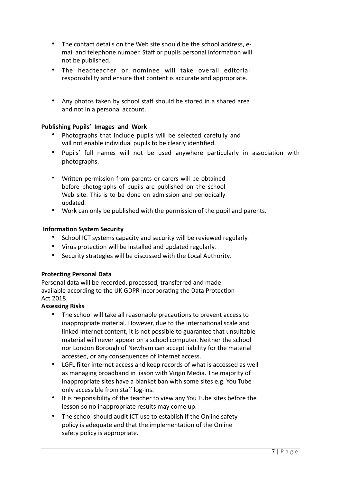- The contact details on the Web site should be the school address, email and telephone number. Staff or pupils personal information will not be published.
- The headteacher or nominee will take overall editorial responsibility and ensure that content is accurate and appropriate.
- Any photos taken by school staff should be stored in a shared area and not in a personal account.

## **Publishing Pupils' Images and Work**

- Photographs that include pupils will be selected carefully and will not enable individual pupils to be clearly identified.
- Pupils' full names will not be used anywhere particularly in association with photographs.
- Written permission from parents or carers will be obtained before photographs of pupils are published on the school Web site. This is to be done on admission and periodically updated.
- Work can only be published with the permission of the pupil and parents.

## **Information System Security**

- School ICT systems capacity and security will be reviewed regularly.
- Virus protection will be installed and updated regularly.
- Security strategies will be discussed with the Local Authority.

## **Protecting Personal Data**

Personal data will be recorded, processed, transferred and made available according to the UK GDPR incorporating the Data Protection Act 2018.

## **Assessing Risks**

- The school will take all reasonable precautions to prevent access to inappropriate material. However, due to the international scale and linked Internet content, it is not possible to guarantee that unsuitable material will never appear on a school computer. Neither the school nor London Borough of Newham can accept liability for the material accessed, or any consequences of Internet access.
- LGFL filter internet access and keep records of what is accessed as well as managing broadband in liason with Virgin Media. The majority of inappropriate sites have a blanket ban with some sites e.g. You Tube only accessible from staff log-ins.
- It is responsibility of the teacher to view any You Tube sites before the lesson so no inappropriate results may come up.
- The school should audit ICT use to establish if the Online safety policy is adequate and that the implementation of the Online safety policy is appropriate.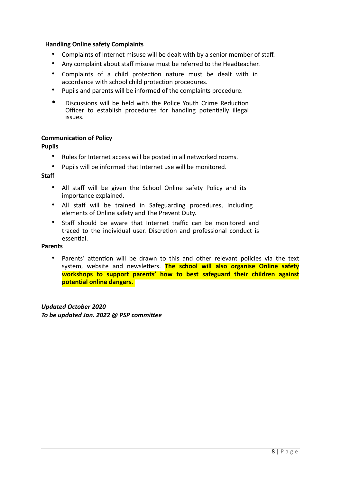## **Handling Online safety Complaints**

- Complaints of Internet misuse will be dealt with by a senior member of staff.
- Any complaint about staff misuse must be referred to the Headteacher.
- Complaints of a child protection nature must be dealt with in accordance with school child protection procedures.
- Pupils and parents will be informed of the complaints procedure.
- Discussions will be held with the Police Youth Crime Reduction Officer to establish procedures for handling potentially illegal issues.

#### **Communication of Policy**

## **Pupils**

- Rules for Internet access will be posted in all networked rooms.
- Pupils will be informed that Internet use will be monitored.

## **Staf**

- All staff will be given the School Online safety Policy and its importance explained.
- All staff will be trained in Safeguarding procedures, including elements of Online safety and The Prevent Duty.
- Staff should be aware that Internet traffic can be monitored and traced to the individual user. Discretion and professional conduct is essential.

## **Parents**

Parents' attention will be drawn to this and other relevant policies via the text system, website and newsletters. **The school will also organise Online safety workshops to support parents' how to best safeguard their children against potential online dangers.** 

*Updated October 2020 To be updated Jan. 2022 @ PSP committee*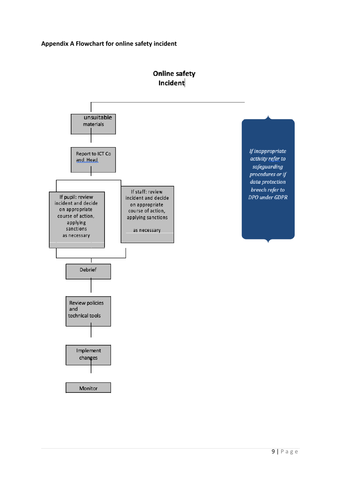

## **Online safety** Incident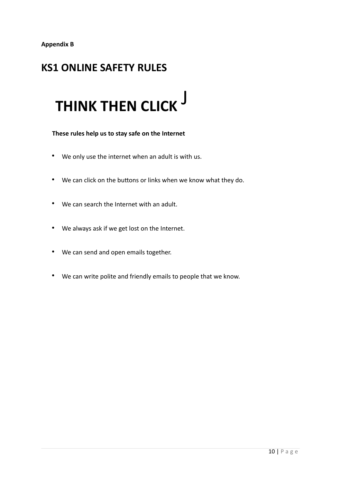## **KS1 ONLINE SAFETY RULES**

# **THINK THEN CLICK** J

 **These rules help us to stay safe on the Internet**

- We only use the internet when an adult is with us.
- We can click on the buttons or links when we know what they do.
- We can search the Internet with an adult.
- We always ask if we get lost on the Internet.
- We can send and open emails together.
- We can write polite and friendly emails to people that we know.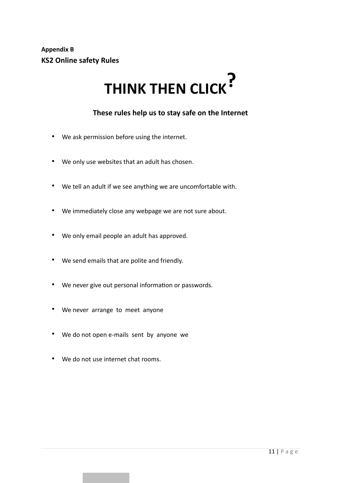# **THINK THEN CLICK?**

## **These rules help us to stay safe on the Internet**

- We ask permission before using the internet.
- We only use websites that an adult has chosen.
- We tell an adult if we see anything we are uncomfortable with.
- We immediately close any webpage we are not sure about.
- We only email people an adult has approved.
- We send emails that are polite and friendly.
- We never give out personal information or passwords.
- We never arrange to meet anyone
- We do not open e-mails sent by anyone we
- We do not use internet chat rooms.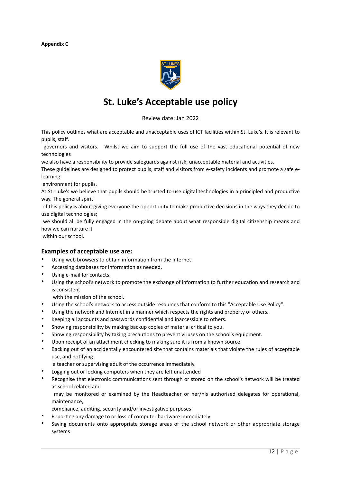

## **St. Luke's Acceptable use policy**

Review date: Jan 2022

This policy outlines what are acceptable and unacceptable uses of ICT facilities within St. Luke's. It is relevant to pupils, staff,

 governors and visitors. Whilst we aim to support the full use of the vast educational potential of new technologies

we also have a responsibility to provide safeguards against risk, unacceptable material and activities.

These guidelines are designed to protect pupils, staff and visitors from e-safety incidents and promote a safe elearning

environment for pupils.

At St. Luke's we believe that pupils should be trusted to use digital technologies in a principled and productive way. The general spirit

 of this policy is about giving everyone the opportunity to make productive decisions in the ways they decide to use digital technologies;

 we should all be fully engaged in the on-going debate about what responsible digital citizenship means and how we can nurture it

within our school.

#### **Examples of acceptable use are:**

- Using web browsers to obtain information from the Internet
- Accessing databases for information as needed.
- Using e-mail for contacts.
- Using the school's network to promote the exchange of information to further education and research and is consistent

with the mission of the school.

- Using the school's network to access outside resources that conform to this "Acceptable Use Policy".
- Using the network and Internet in a manner which respects the rights and property of others.
- Keeping all accounts and passwords confidential and inaccessible to others.
- Showing responsibility by making backup copies of material critical to you.
- Showing responsibility by taking precautions to prevent viruses on the school's equipment.
- Upon receipt of an attachment checking to making sure it is from a known source.
- Backing out of an accidentally encountered site that contains materials that violate the rules of acceptable use, and notifying
	- a teacher or supervising adult of the occurrence immediately.
- Logging out or locking computers when they are left unattended
- Recognise that electronic communications sent through or stored on the school's network will be treated as school related and

 may be monitored or examined by the Headteacher or her/his authorised delegates for operational, maintenance,

- compliance, auditing, security and/or investigative purposes
- Reporting any damage to or loss of computer hardware immediately
- Saving documents onto appropriate storage areas of the school network or other appropriate storage systems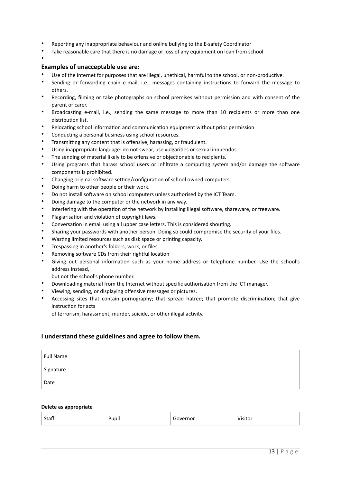- Reporting any inappropriate behaviour and online bullying to the E-safety Coordinator
- Take reasonable care that there is no damage or loss of any equipment on loan from school

## **Examples of unacceptable use are:**

•

- Use of the Internet for purposes that are illegal, unethical, harmful to the school, or non-productive.
- Sending or forwarding chain e-mail, i.e., messages containing instructions to forward the message to others.
- Recording, filming or take photographs on school premises without permission and with consent of the parent or carer.
- Broadcasting e-mail, i.e., sending the same message to more than 10 recipients or more than one distribution list.
- Relocating school information and communication equipment without prior permission
- Conducting a personal business using school resources.
- Transmitting any content that is offensive, harassing, or fraudulent.
- Using inappropriate language: do not swear, use vulgarities or sexual innuendos.
- The sending of material likely to be offensive or objectionable to recipients.
- Using programs that harass school users or infiltrate a computing system and/or damage the software components is prohibited.
- Changing original software setting/configuration of school owned computers
- Doing harm to other people or their work.
- Do not install software on school computers unless authorised by the ICT Team.
- Doing damage to the computer or the network in any way.
- Interfering with the operation of the network by installing illegal software, shareware, or freeware.
- Plagiarisation and violation of copyright laws.
- Conversation in email using all upper case letters. This is considered shouting.
- Sharing your passwords with another person. Doing so could compromise the security of your files.
- Wasting limited resources such as disk space or printing capacity.
- Trespassing in another's folders, work, or files.
- Removing software CDs from their rightful location
- Giving out personal information such as your home address or telephone number. Use the school's address instead,

but not the school's phone number.

- Downloading material from the Internet without specific authorisation from the ICT manager.
- Viewing, sending, or displaying offensive messages or pictures.
- Accessing sites that contain pornography; that spread hatred; that promote discrimination; that give instruction for acts

of terrorism, harassment, murder, suicide, or other illegal activity.

## **I understand these guidelines and agree to follow them.**

| <b>Full Name</b> |  |
|------------------|--|
| Signature        |  |
| Date             |  |

#### **Delete as appropriate**

| Staff | .<br>upii | overnor | Visitor |
|-------|-----------|---------|---------|
|-------|-----------|---------|---------|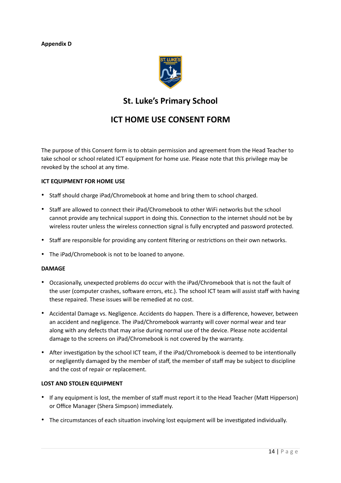## **Appendix D**



## **St. Luke's Primary School**

## **ICT HOME USE CONSENT FORM**

The purpose of this Consent form is to obtain permission and agreement from the Head Teacher to take school or school related ICT equipment for home use. Please note that this privilege may be revoked by the school at any time.

## **ICT EQUIPMENT FOR HOME USE**

- Staff should charge iPad/Chromebook at home and bring them to school charged.
- Staff are allowed to connect their iPad/Chromebook to other WiFi networks but the school cannot provide any technical support in doing this. Connection to the internet should not be by wireless router unless the wireless connection signal is fully encrypted and password protected.
- Staff are responsible for providing any content filtering or restrictions on their own networks.
- The iPad/Chromebook is not to be loaned to anyone.

## **DAMAGE**

- Occasionally, unexpected problems do occur with the iPad/Chromebook that is not the fault of the user (computer crashes, software errors, etc.). The school ICT team will assist staff with having these repaired. These issues will be remedied at no cost.
- Accidental Damage vs. Negligence. Accidents do happen. There is a difference, however, between an accident and negligence. The iPad/Chromebook warranty will cover normal wear and tear along with any defects that may arise during normal use of the device. Please note accidental damage to the screens on iPad/Chromebook is not covered by the warranty.
- After investigation by the school ICT team, if the iPad/Chromebook is deemed to be intentionally or negligently damaged by the member of staff, the member of staff may be subject to discipline and the cost of repair or replacement.

## **LOST AND STOLEN EQUIPMENT**

- If any equipment is lost, the member of staff must report it to the Head Teacher (Matt Hipperson) or Office Manager (Shera Simpson) immediately.
- The circumstances of each situation involving lost equipment will be investigated individually.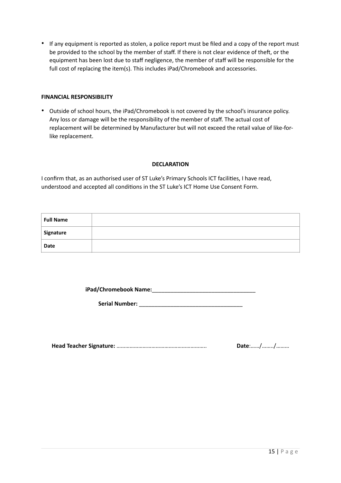• If any equipment is reported as stolen, a police report must be filed and a copy of the report must be provided to the school by the member of staff. If there is not clear evidence of theft, or the equipment has been lost due to staff negligence, the member of staff will be responsible for the full cost of replacing the item(s). This includes iPad/Chromebook and accessories.

## **FINANCIAL RESPONSIBILITY**

• Outside of school hours, the iPad/Chromebook is not covered by the school's insurance policy. Any loss or damage will be the responsibility of the member of staff. The actual cost of replacement will be determined by Manufacturer but will not exceed the retail value of like-forlike replacement.

## **DECLARATION**

I confirm that, as an authorised user of ST Luke's Primary Schools ICT facilities, I have read, understood and accepted all conditions in the ST Luke's ICT Home Use Consent Form.

| <b>Full Name</b> |  |
|------------------|--|
| Signature        |  |
| Date             |  |

**iPad/Chromebook Name:**\_\_\_\_\_\_\_\_\_\_\_\_\_\_\_\_\_\_\_\_\_\_\_\_\_\_\_\_\_\_\_\_\_

**Serial Number:** \_\_\_\_\_\_\_\_\_\_\_\_\_\_\_\_\_\_\_\_\_\_\_\_\_\_\_\_\_\_\_\_\_

**Head Teacher Signature:** …………………………………………………….. **Date**:……/……../………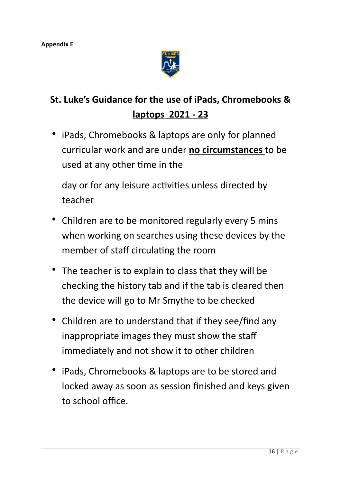

## **St. Luke's Guidance for the use of iPads, Chromebooks & laptops 2021 - 23**

• iPads, Chromebooks & laptops are only for planned curricular work and are under **no circumstances** to be used at any other time in the

day or for any leisure activities unless directed by teacher

- Children are to be monitored regularly every 5 mins when working on searches using these devices by the member of staff circulating the room
- The teacher is to explain to class that they will be checking the history tab and if the tab is cleared then the device will go to Mr Smythe to be checked
- Children are to understand that if they see/find any inappropriate images they must show the staff immediately and not show it to other children
- iPads, Chromebooks & laptops are to be stored and locked away as soon as session finished and keys given to school office.